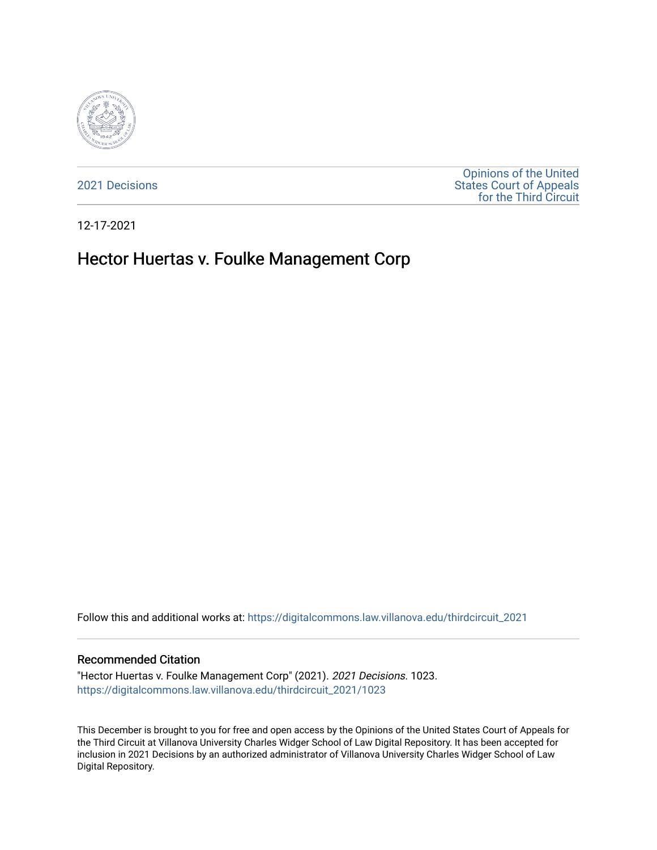

[2021 Decisions](https://digitalcommons.law.villanova.edu/thirdcircuit_2021)

[Opinions of the United](https://digitalcommons.law.villanova.edu/thirdcircuit)  [States Court of Appeals](https://digitalcommons.law.villanova.edu/thirdcircuit)  [for the Third Circuit](https://digitalcommons.law.villanova.edu/thirdcircuit) 

12-17-2021

# Hector Huertas v. Foulke Management Corp

Follow this and additional works at: [https://digitalcommons.law.villanova.edu/thirdcircuit\\_2021](https://digitalcommons.law.villanova.edu/thirdcircuit_2021?utm_source=digitalcommons.law.villanova.edu%2Fthirdcircuit_2021%2F1023&utm_medium=PDF&utm_campaign=PDFCoverPages) 

#### Recommended Citation

"Hector Huertas v. Foulke Management Corp" (2021). 2021 Decisions. 1023. [https://digitalcommons.law.villanova.edu/thirdcircuit\\_2021/1023](https://digitalcommons.law.villanova.edu/thirdcircuit_2021/1023?utm_source=digitalcommons.law.villanova.edu%2Fthirdcircuit_2021%2F1023&utm_medium=PDF&utm_campaign=PDFCoverPages) 

This December is brought to you for free and open access by the Opinions of the United States Court of Appeals for the Third Circuit at Villanova University Charles Widger School of Law Digital Repository. It has been accepted for inclusion in 2021 Decisions by an authorized administrator of Villanova University Charles Widger School of Law Digital Repository.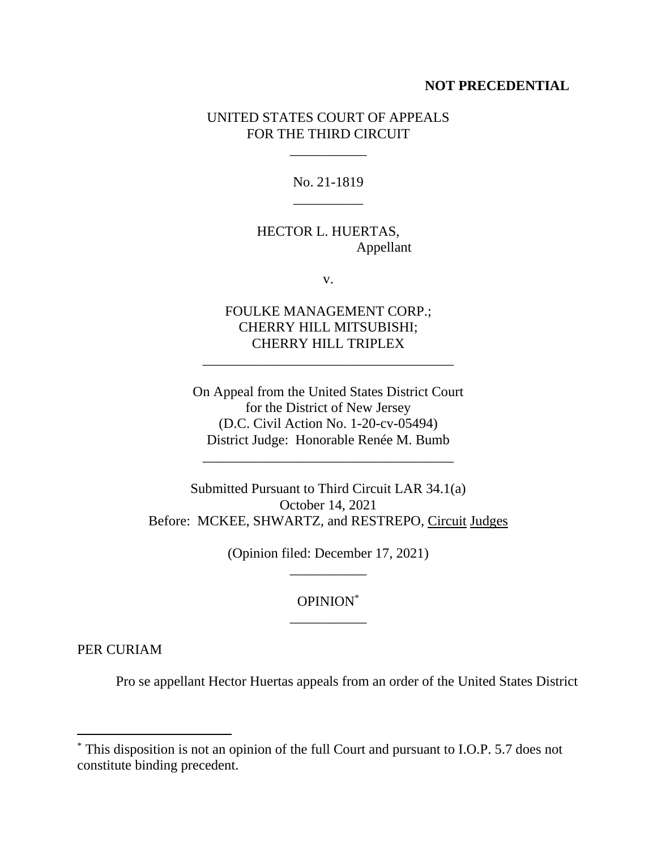#### **NOT PRECEDENTIAL**

### UNITED STATES COURT OF APPEALS FOR THE THIRD CIRCUIT

\_\_\_\_\_\_\_\_\_\_\_

No. 21-1819 \_\_\_\_\_\_\_\_\_\_

# HECTOR L. HUERTAS, Appellant

v.

# FOULKE MANAGEMENT CORP.; CHERRY HILL MITSUBISHI; CHERRY HILL TRIPLEX

\_\_\_\_\_\_\_\_\_\_\_\_\_\_\_\_\_\_\_\_\_\_\_\_\_\_\_\_\_\_\_\_\_\_\_\_

On Appeal from the United States District Court for the District of New Jersey (D.C. Civil Action No. 1-20-cv-05494) District Judge: Honorable Renée M. Bumb

\_\_\_\_\_\_\_\_\_\_\_\_\_\_\_\_\_\_\_\_\_\_\_\_\_\_\_\_\_\_\_\_\_\_\_\_

Submitted Pursuant to Third Circuit LAR 34.1(a) October 14, 2021 Before: MCKEE, SHWARTZ, and RESTREPO, Circuit Judges

> (Opinion filed: December 17, 2021) \_\_\_\_\_\_\_\_\_\_\_

# OPINION\* \_\_\_\_\_\_\_\_\_\_\_

PER CURIAM

Pro se appellant Hector Huertas appeals from an order of the United States District

<sup>\*</sup> This disposition is not an opinion of the full Court and pursuant to I.O.P. 5.7 does not constitute binding precedent.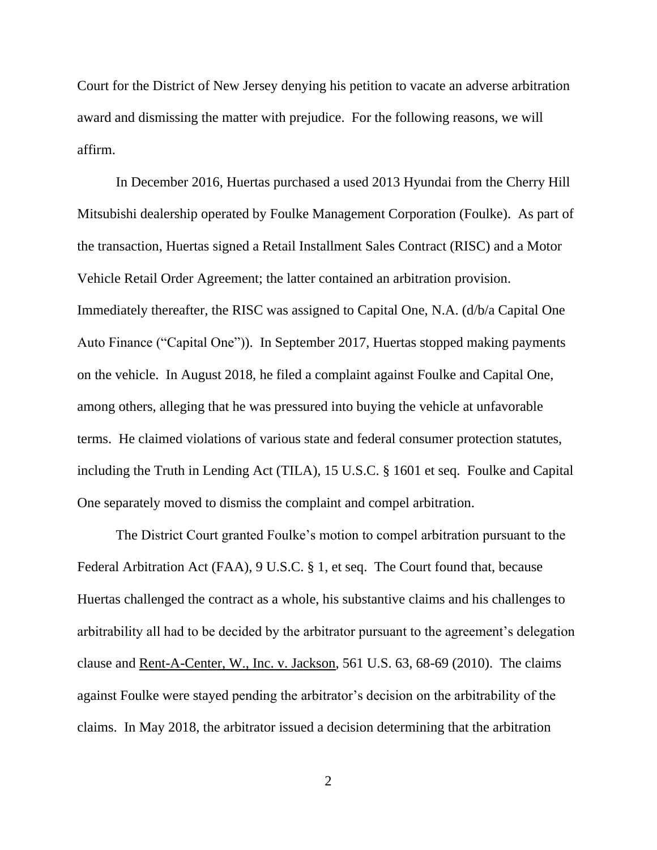Court for the District of New Jersey denying his petition to vacate an adverse arbitration award and dismissing the matter with prejudice. For the following reasons, we will affirm.

In December 2016, Huertas purchased a used 2013 Hyundai from the Cherry Hill Mitsubishi dealership operated by Foulke Management Corporation (Foulke). As part of the transaction, Huertas signed a Retail Installment Sales Contract (RISC) and a Motor Vehicle Retail Order Agreement; the latter contained an arbitration provision. Immediately thereafter, the RISC was assigned to Capital One, N.A. (d/b/a Capital One Auto Finance ("Capital One")). In September 2017, Huertas stopped making payments on the vehicle. In August 2018, he filed a complaint against Foulke and Capital One, among others, alleging that he was pressured into buying the vehicle at unfavorable terms. He claimed violations of various state and federal consumer protection statutes, including the Truth in Lending Act (TILA), 15 U.S.C. § 1601 et seq. Foulke and Capital One separately moved to dismiss the complaint and compel arbitration.

The District Court granted Foulke's motion to compel arbitration pursuant to the Federal Arbitration Act (FAA), 9 U.S.C. § 1, et seq. The Court found that, because Huertas challenged the contract as a whole, his substantive claims and his challenges to arbitrability all had to be decided by the arbitrator pursuant to the agreement's delegation clause and Rent-A-Center, W., Inc. v. Jackson, 561 U.S. 63, 68-69 (2010). The claims against Foulke were stayed pending the arbitrator's decision on the arbitrability of the claims. In May 2018, the arbitrator issued a decision determining that the arbitration

2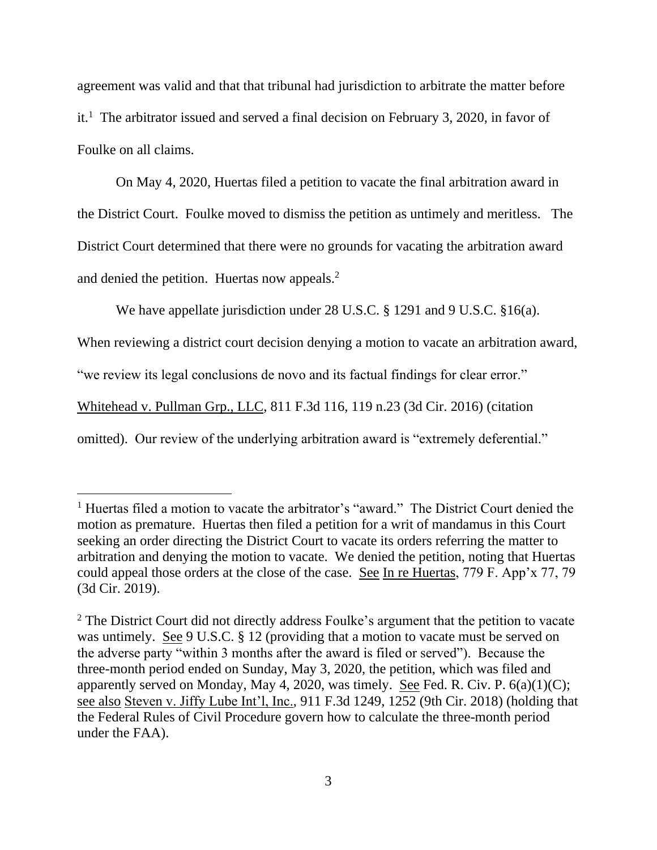agreement was valid and that that tribunal had jurisdiction to arbitrate the matter before it.<sup>1</sup> The arbitrator issued and served a final decision on February 3, 2020, in favor of Foulke on all claims.

On May 4, 2020, Huertas filed a petition to vacate the final arbitration award in the District Court. Foulke moved to dismiss the petition as untimely and meritless. The District Court determined that there were no grounds for vacating the arbitration award and denied the petition. Huertas now appeals.<sup>2</sup>

We have appellate jurisdiction under 28 U.S.C. § 1291 and 9 U.S.C. § 16(a).

When reviewing a district court decision denying a motion to vacate an arbitration award,

"we review its legal conclusions de novo and its factual findings for clear error."

Whitehead v. Pullman Grp., LLC, 811 F.3d 116, 119 n.23 (3d Cir. 2016) (citation

omitted). Our review of the underlying arbitration award is "extremely deferential."

<sup>&</sup>lt;sup>1</sup> Huertas filed a motion to vacate the arbitrator's "award." The District Court denied the motion as premature. Huertas then filed a petition for a writ of mandamus in this Court seeking an order directing the District Court to vacate its orders referring the matter to arbitration and denying the motion to vacate. We denied the petition, noting that Huertas could appeal those orders at the close of the case. See In re Huertas, 779 F. App'x 77, 79 (3d Cir. 2019).

 $2$  The District Court did not directly address Foulke's argument that the petition to vacate was untimely. See 9 U.S.C. § 12 (providing that a motion to vacate must be served on the adverse party "within 3 months after the award is filed or served"). Because the three-month period ended on Sunday, May 3, 2020, the petition, which was filed and apparently served on Monday, May 4, 2020, was timely. See Fed. R. Civ. P.  $6(a)(1)(C)$ ; see also Steven v. Jiffy Lube Int'l, Inc., 911 F.3d 1249, 1252 (9th Cir. 2018) (holding that the Federal Rules of Civil Procedure govern how to calculate the three-month period under the FAA).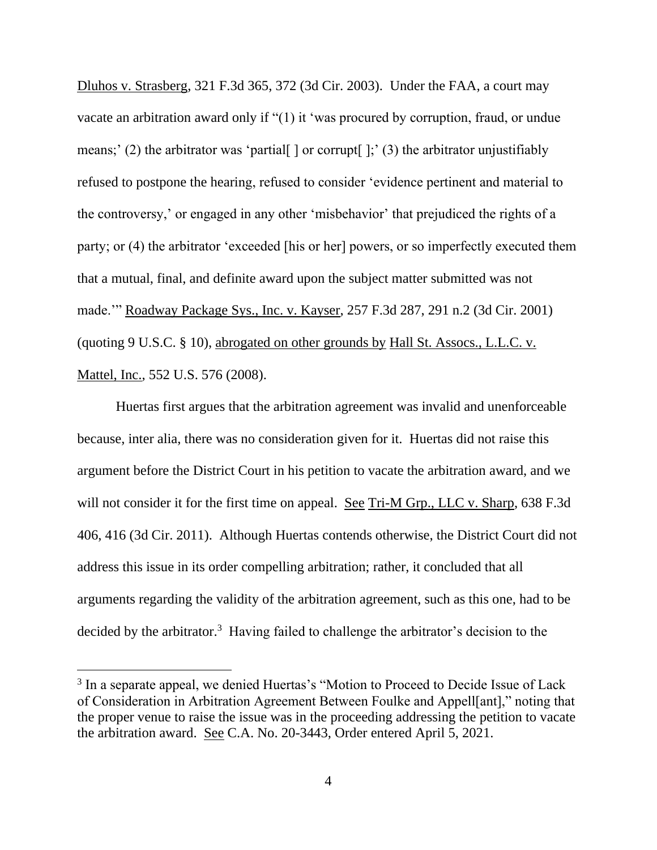Dluhos v. Strasberg, 321 F.3d 365, 372 (3d Cir. 2003). Under the FAA, a court may vacate an arbitration award only if "(1) it 'was procured by corruption, fraud, or undue means;' (2) the arbitrator was 'partial  $\vert$  or corrupt  $\vert$ ;' (3) the arbitrator unjustifiably refused to postpone the hearing, refused to consider 'evidence pertinent and material to the controversy,' or engaged in any other 'misbehavior' that prejudiced the rights of a party; or (4) the arbitrator 'exceeded [his or her] powers, or so imperfectly executed them that a mutual, final, and definite award upon the subject matter submitted was not made.'" Roadway Package Sys., Inc. v. Kayser, 257 F.3d 287, 291 n.2 (3d Cir. 2001) (quoting 9 U.S.C. § 10), abrogated on other grounds by Hall St. Assocs., L.L.C. v. Mattel, Inc., 552 U.S. 576 (2008).

Huertas first argues that the arbitration agreement was invalid and unenforceable because, inter alia, there was no consideration given for it. Huertas did not raise this argument before the District Court in his petition to vacate the arbitration award, and we will not consider it for the first time on appeal. See Tri-M Grp., LLC v. Sharp, 638 F.3d 406, 416 (3d Cir. 2011). Although Huertas contends otherwise, the District Court did not address this issue in its order compelling arbitration; rather, it concluded that all arguments regarding the validity of the arbitration agreement, such as this one, had to be decided by the arbitrator.<sup>3</sup> Having failed to challenge the arbitrator's decision to the

<sup>&</sup>lt;sup>3</sup> In a separate appeal, we denied Huertas's "Motion to Proceed to Decide Issue of Lack of Consideration in Arbitration Agreement Between Foulke and Appell[ant]," noting that the proper venue to raise the issue was in the proceeding addressing the petition to vacate the arbitration award. See C.A. No. 20-3443, Order entered April 5, 2021.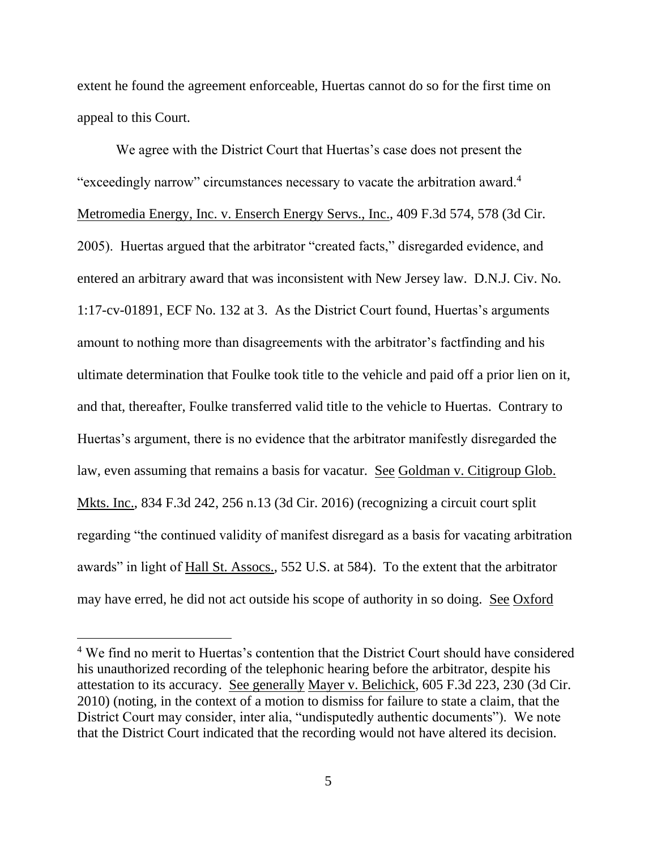extent he found the agreement enforceable, Huertas cannot do so for the first time on appeal to this Court.

We agree with the District Court that Huertas's case does not present the "exceedingly narrow" circumstances necessary to vacate the arbitration award.<sup>4</sup> Metromedia Energy, Inc. v. Enserch Energy Servs., Inc., 409 F.3d 574, 578 (3d Cir. 2005). Huertas argued that the arbitrator "created facts," disregarded evidence, and entered an arbitrary award that was inconsistent with New Jersey law. D.N.J. Civ. No. 1:17-cv-01891, ECF No. 132 at 3. As the District Court found, Huertas's arguments amount to nothing more than disagreements with the arbitrator's factfinding and his ultimate determination that Foulke took title to the vehicle and paid off a prior lien on it, and that, thereafter, Foulke transferred valid title to the vehicle to Huertas. Contrary to Huertas's argument, there is no evidence that the arbitrator manifestly disregarded the law, even assuming that remains a basis for vacatur. See Goldman v. Citigroup Glob. Mkts. Inc., 834 F.3d 242, 256 n.13 (3d Cir. 2016) (recognizing a circuit court split regarding "the continued validity of manifest disregard as a basis for vacating arbitration awards" in light of Hall St. Assocs., 552 U.S. at 584). To the extent that the arbitrator may have erred, he did not act outside his scope of authority in so doing. See Oxford

<sup>&</sup>lt;sup>4</sup> We find no merit to Huertas's contention that the District Court should have considered his unauthorized recording of the telephonic hearing before the arbitrator, despite his attestation to its accuracy. See generally Mayer v. Belichick, 605 F.3d 223, 230 (3d Cir. 2010) (noting, in the context of a motion to dismiss for failure to state a claim, that the District Court may consider, inter alia, "undisputedly authentic documents"). We note that the District Court indicated that the recording would not have altered its decision.